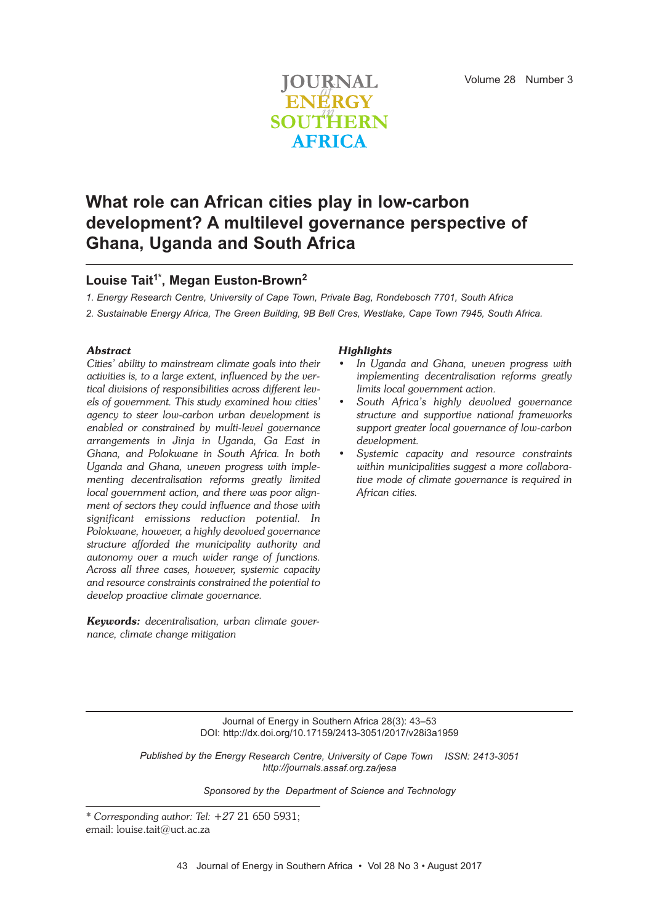

# **What role can African cities play in low-carbon development? A multilevel governance perspective of Ghana, Uganda and South Africa**

# **Louise Tait1\* , Megan Euston-Brown2**

*1. Energy Research Centre, University of Cape Town, Private Bag, Rondebosch 7701, South Africa*

*2. Sustainable Energy Africa, The Green Building, 9B Bell Cres, Westlake, Cape Town 7945, South Africa.*

#### *Abstract*

*Cities' ability to mainstream climate goals into their activities is, to a large extent, influenced by the vertical divisions of responsibilities across different levels of government. This study examined how cities' agency to steer low-carbon urban development is enabled or constrained by multi-level governance arrangements in Jinja in Uganda, Ga East in Ghana, and Polokwane in South Africa. In both Uganda and Ghana, uneven progress with implementing decentralisation reforms greatly limited local government action, and there was poor alignment of sectors they could influence and those with significant emissions reduction potential. In Polokwane, however, a highly devolved governance structure afforded the municipality authority and autonomy over a much wider range of functions. Across all three cases, however, systemic capacity and resource constraints constrained the potential to develop proactive climate governance.*

*Keywords: decentralisation, urban climate governance, climate change mitigation*

#### *Highlights*

- *• In Uganda and Ghana, uneven progress with implementing decentralisation reforms greatly limits local government action.*
- *• South Africa's highly devolved governance structure and supportive national frameworks support greater local governance of low-carbon development.*
- *• Systemic capacity and resource constraints within municipalities suggest a more collaborative mode of climate governance is required in African cities.*

Journal of Energy in Southern Africa 28(3): 43–53 DOI: http://dx.doi.org/10.17159/2413-3051/2017/v28i3a1959

*Published by the Energy Research Centre, University of Cape Town ISSN: 2413-3051 http://journals.assaf.org.za/jesa*

*Sponsored by the Department of Science and Technology*

*<sup>\*</sup> Corresponding author: Tel: +27* 21 650 5931; email: louise.tait@uct.ac.za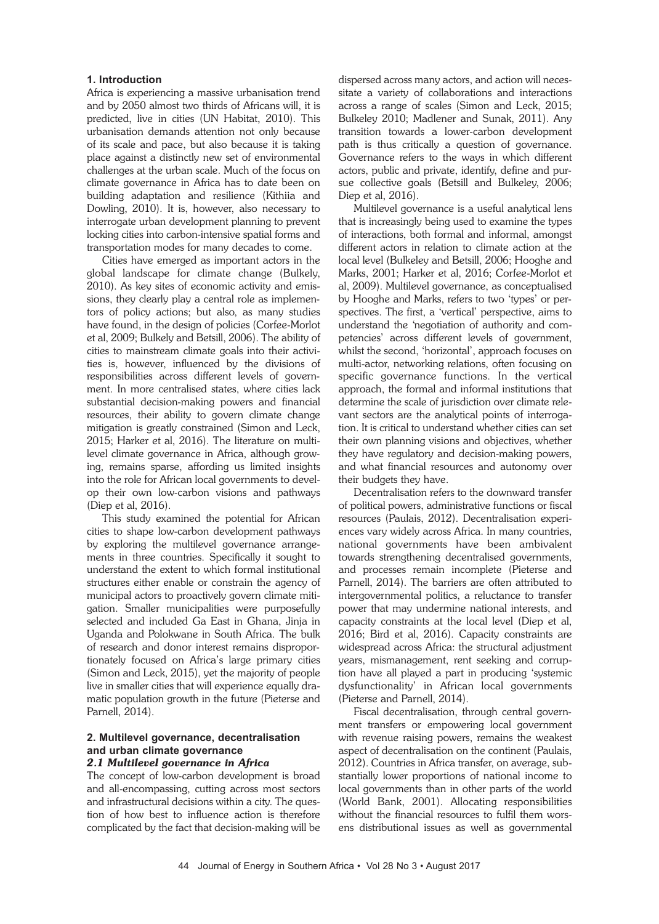#### **1. Introduction**

Africa is experiencing a massive urbanisation trend and by 2050 almost two thirds of Africans will, it is predicted, live in cities (UN Habitat, 2010). This urbanisation demands attention not only because of its scale and pace, but also because it is taking place against a distinctly new set of environmental challenges at the urban scale. Much of the focus on climate governance in Africa has to date been on building adaptation and resilience (Kithiia and Dowling, 2010). It is, however, also necessary to interrogate urban development planning to prevent locking cities into carbon-intensive spatial forms and transportation modes for many decades to come.

Cities have emerged as important actors in the global landscape for climate change (Bulkely, 2010). As key sites of economic activity and emissions, they clearly play a central role as implementors of policy actions; but also, as many studies have found, in the design of policies (Corfee-Morlot et al, 2009; Bulkely and Betsill, 2006). The ability of cities to mainstream climate goals into their activities is, however, influenced by the divisions of responsibilities across different levels of government. In more centralised states, where cities lack substantial decision-making powers and financial resources, their ability to govern climate change mitigation is greatly constrained (Simon and Leck, 2015; Harker et al, 2016). The literature on multilevel climate governance in Africa, although growing, remains sparse, affording us limited insights into the role for African local governments to develop their own low-carbon visions and pathways (Diep et al, 2016).

This study examined the potential for African cities to shape low-carbon development pathways by exploring the multilevel governance arrangements in three countries. Specifically it sought to understand the extent to which formal institutional structures either enable or constrain the agency of municipal actors to proactively govern climate mitigation. Smaller municipalities were purposefully selected and included Ga East in Ghana, Jinja in Uganda and Polokwane in South Africa. The bulk of research and donor interest remains disproportionately focused on Africa's large primary cities (Simon and Leck, 2015), yet the majority of people live in smaller cities that will experience equally dramatic population growth in the future (Pieterse and Parnell, 2014).

## **2. Multilevel governance, decentralisation and urban climate governance**

#### *2.1 Multilevel governance in Africa*

The concept of low-carbon development is broad and all-encompassing, cutting across most sectors and infrastructural decisions within a city. The question of how best to influence action is therefore complicated by the fact that decision-making will be dispersed across many actors, and action will necessitate a variety of collaborations and interactions across a range of scales (Simon and Leck, 2015; Bulkeley 2010; Madlener and Sunak, 2011). Any transition towards a lower-carbon development path is thus critically a question of governance. Governance refers to the ways in which different actors, public and private, identify, define and pursue collective goals (Betsill and Bulkeley, 2006; Diep et al, 2016).

Multilevel governance is a useful analytical lens that is increasingly being used to examine the types of interactions, both formal and informal, amongst different actors in relation to climate action at the local level (Bulkeley and Betsill, 2006; Hooghe and Marks, 2001; Harker et al, 2016; Corfee-Morlot et al, 2009). Multilevel governance, as conceptualised by Hooghe and Marks, refers to two 'types' or perspectives. The first, a 'vertical' perspective, aims to understand the 'negotiation of authority and competencies' across different levels of government, whilst the second, 'horizontal', approach focuses on multi-actor, networking relations, often focusing on specific governance functions. In the vertical approach, the formal and informal institutions that determine the scale of jurisdiction over climate relevant sectors are the analytical points of interrogation. It is critical to understand whether cities can set their own planning visions and objectives, whether they have regulatory and decision-making powers, and what financial resources and autonomy over their budgets they have.

Decentralisation refers to the downward transfer of political powers, administrative functions or fiscal resources (Paulais, 2012). Decentralisation experiences vary widely across Africa. In many countries, national governments have been ambivalent towards strengthening decentralised governments, and processes remain incomplete (Pieterse and Parnell, 2014). The barriers are often attributed to intergovernmental politics, a reluctance to transfer power that may undermine national interests, and capacity constraints at the local level (Diep et al, 2016; Bird et al, 2016). Capacity constraints are widespread across Africa: the structural adjustment years, mismanagement, rent seeking and corruption have all played a part in producing 'systemic dysfunctionality' in African local governments (Pieterse and Parnell, 2014).

Fiscal decentralisation, through central government transfers or empowering local government with revenue raising powers, remains the weakest aspect of decentralisation on the continent (Paulais, 2012). Countries in Africa transfer, on average, substantially lower proportions of national income to local governments than in other parts of the world (World Bank, 2001). Allocating responsibilities without the financial resources to fulfil them worsens distributional issues as well as governmental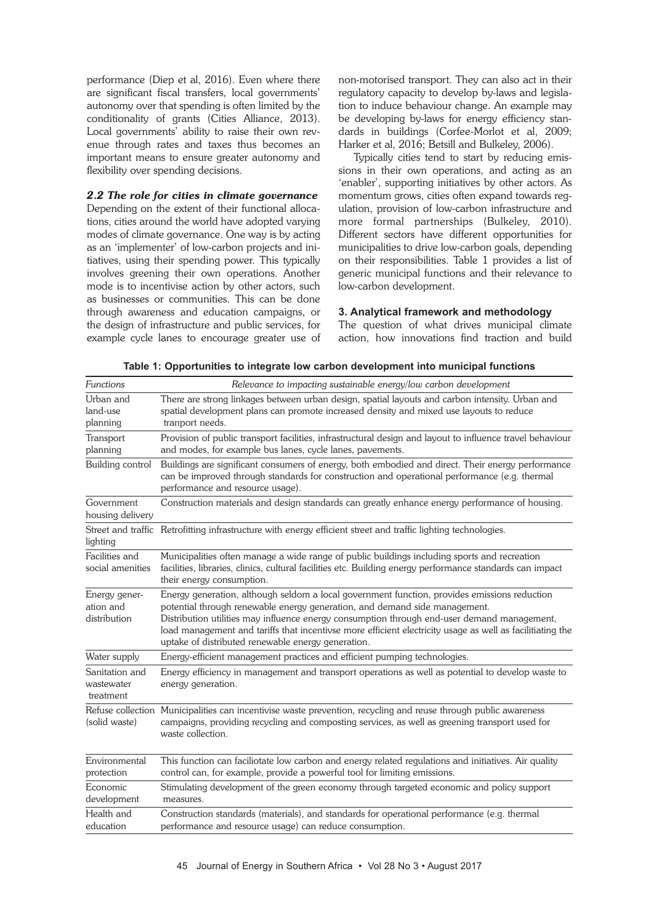performance (Diep et al, 2016). Even where there are significant fiscal transfers, local governments' autonomy over that spending is often limited by the conditionality of grants (Cities Alliance, 2013). Local governments' ability to raise their own revenue through rates and taxes thus becomes an important means to ensure greater autonomy and flexibility over spending decisions.

#### *2.2 The role for cities in climate governance*

Depending on the extent of their functional allocations, cities around the world have adopted varying modes of climate governance. One way is by acting as an 'implementer' of low-carbon projects and initiatives, using their spending power. This typically involves greening their own operations. Another mode is to incentivise action by other actors, such as businesses or communities. This can be done through awareness and education campaigns, or the design of infrastructure and public services, for example cycle lanes to encourage greater use of

non-motorised transport. They can also act in their regulatory capacity to develop by-laws and legislation to induce behaviour change. An example may be developing by-laws for energy efficiency standards in buildings (Corfee-Morlot et al, 2009; Harker et al, 2016; Betsill and Bulkeley, 2006).

Typically cities tend to start by reducing emissions in their own operations, and acting as an 'enabler', supporting initiatives by other actors. As momentum grows, cities often expand towards regulation, provision of low-carbon infrastructure and more formal partnerships (Bulkeley, 2010). Different sectors have different opportunities for municipalities to drive low-carbon goals, depending on their responsibilities. Table 1 provides a list of generic municipal functions and their relevance to low-carbon development.

## **3. Analytical framework and methodology**

The question of what drives municipal climate action, how innovations find traction and build

**Table 1: Opportunities to integrate low carbon development into municipal functions**

| Functions                                  | Relevance to impacting sustainable energy/low carbon development                                                                                                                                                                                                                                                                                                                                                                             |
|--------------------------------------------|----------------------------------------------------------------------------------------------------------------------------------------------------------------------------------------------------------------------------------------------------------------------------------------------------------------------------------------------------------------------------------------------------------------------------------------------|
| Urban and<br>land-use<br>planning          | There are strong linkages between urban design, spatial layouts and carbon intensity. Urban and<br>spatial development plans can promote increased density and mixed use layouts to reduce<br>tranport needs.                                                                                                                                                                                                                                |
| Transport<br>planning                      | Provision of public transport facilities, infrastructural design and layout to influence travel behaviour<br>and modes, for example bus lanes, cycle lanes, pavements.                                                                                                                                                                                                                                                                       |
| Building control                           | Buildings are significant consumers of energy, both embodied and direct. Their energy performance<br>can be improved through standards for construction and operational performance (e.g. thermal<br>performance and resource usage).                                                                                                                                                                                                        |
| Government<br>housing delivery             | Construction materials and design standards can greatly enhance energy performance of housing.                                                                                                                                                                                                                                                                                                                                               |
| lighting                                   | Street and traffic Retrofitting infrastructure with energy efficient street and traffic lighting technologies.                                                                                                                                                                                                                                                                                                                               |
| Facilities and<br>social amenities         | Municipalities often manage a wide range of public buildings including sports and recreation<br>facilities, libraries, clinics, cultural facilities etc. Building energy performance standards can impact<br>their energy consumption.                                                                                                                                                                                                       |
| Energy gener-<br>ation and<br>distribution | Energy generation, although seldom a local government function, provides emissions reduction<br>potential through renewable energy generation, and demand side management.<br>Distribution utilities may influence energy consumption through end-user demand management,<br>load management and tariffs that incentivse more efficient electricity usage as well as facilitiating the<br>uptake of distributed renewable energy generation. |
| Water supply                               | Energy-efficient management practices and efficient pumping technologies.                                                                                                                                                                                                                                                                                                                                                                    |
| Sanitation and<br>wastewater<br>treatment  | Energy efficiency in management and transport operations as well as potential to develop waste to<br>energy generation.                                                                                                                                                                                                                                                                                                                      |
| Refuse collection<br>(solid waste)         | Municipalities can incentivise waste prevention, recycling and reuse through public awareness<br>campaigns, providing recycling and composting services, as well as greening transport used for<br>waste collection.                                                                                                                                                                                                                         |
| Environmental<br>protection                | This function can faciliotate low carbon and energy related regulations and initiatives. Air quality<br>control can, for example, provide a powerful tool for limiting emissions.                                                                                                                                                                                                                                                            |
| Economic<br>development                    | Stimulating development of the green economy through targeted economic and policy support<br>measures.                                                                                                                                                                                                                                                                                                                                       |
| Health and<br>education                    | Construction standards (materials), and standards for operational performance (e.g. thermal<br>performance and resource usage) can reduce consumption.                                                                                                                                                                                                                                                                                       |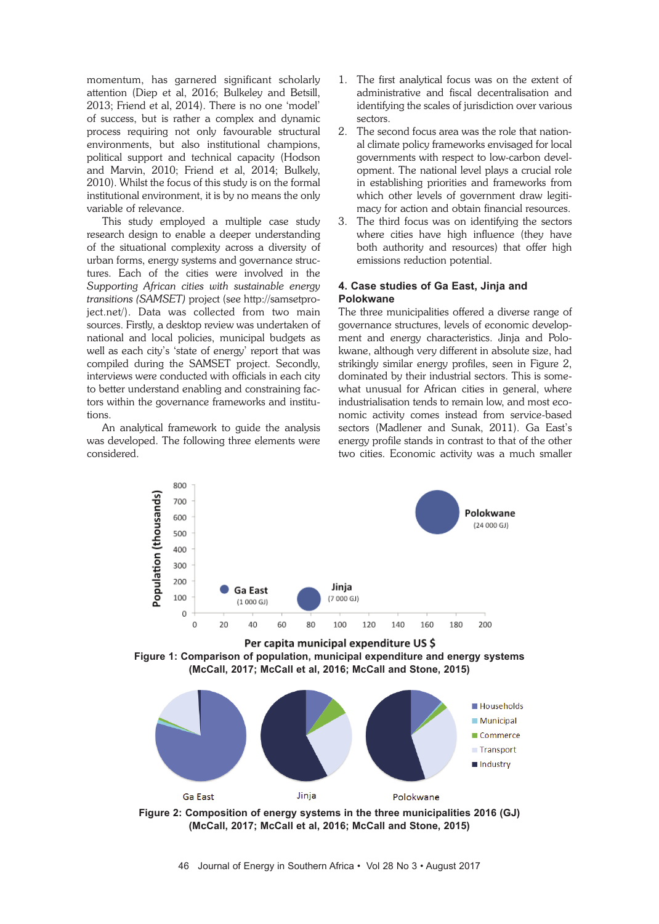momentum, has garnered significant scholarly attention (Diep et al, 2016; Bulkeley and Betsill, 2013; Friend et al, 2014). There is no one 'model' of success, but is rather a complex and dynamic process requiring not only favourable structural environments, but also institutional champions, political support and technical capacity (Hodson and Marvin, 2010; Friend et al, 2014; Bulkely, 2010). Whilst the focus of this study is on the formal institutional environment, it is by no means the only variable of relevance.

This study employed a multiple case study research design to enable a deeper understanding of the situational complexity across a diversity of urban forms, energy systems and governance structures. Each of the cities were involved in the *Supporting African cities with sustainable energy transitions (SAMSET)* project (see http://samsetproject.net/). Data was collected from two main sources. Firstly, a desktop review was undertaken of national and local policies, municipal budgets as well as each city's 'state of energy' report that was compiled during the SAMSET project. Secondly, interviews were conducted with officials in each city to better understand enabling and constraining factors within the governance frameworks and institutions.

An analytical framework to guide the analysis was developed. The following three elements were considered.

- 1. The first analytical focus was on the extent of administrative and fiscal decentralisation and identifying the scales of jurisdiction over various sectors.
- 2. The second focus area was the role that national climate policy frameworks envisaged for local governments with respect to low-carbon development. The national level plays a crucial role in establishing priorities and frameworks from which other levels of government draw legitimacy for action and obtain financial resources.
- 3. The third focus was on identifying the sectors where cities have high influence (they have both authority and resources) that offer high emissions reduction potential.

## **4. Case studies of Ga East, Jinja and Polokwane**

The three municipalities offered a diverse range of governance structures, levels of economic development and energy characteristics. Jinja and Polokwane, although very different in absolute size, had strikingly similar energy profiles, seen in Figure 2, dominated by their industrial sectors. This is somewhat unusual for African cities in general, where industrialisation tends to remain low, and most economic activity comes instead from service-based sectors (Madlener and Sunak, 2011). Ga East's energy profile stands in contrast to that of the other two cities. Economic activity was a much smaller



Per capita municipal expenditure US \$ **Figure 1: Comparison of population, municipal expenditure and energy systems (McCall, 2017; McCall et al, 2016; McCall and Stone, 2015)**



**(McCall, 2017; McCall et al, 2016; McCall and Stone, 2015)**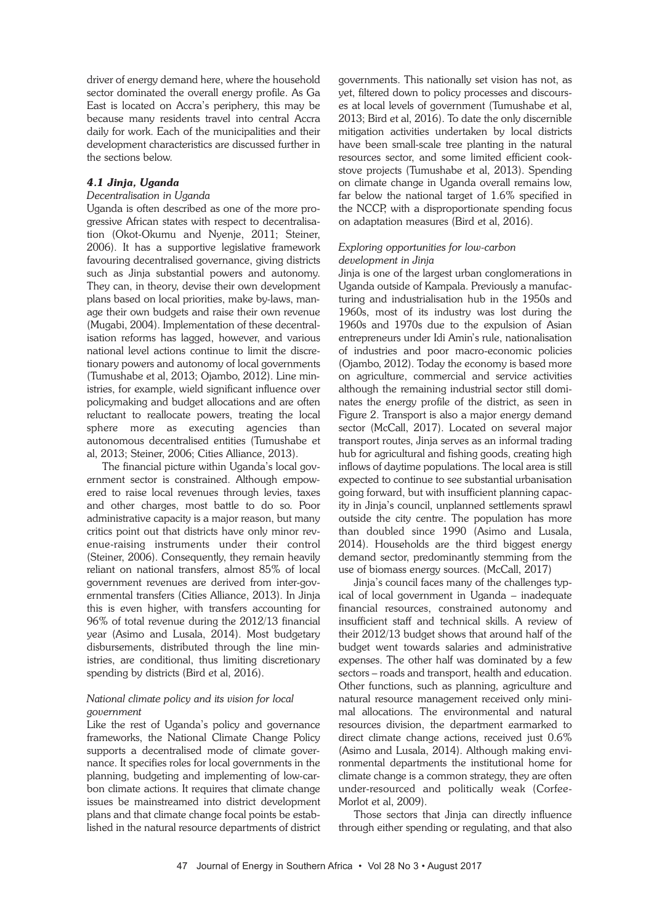driver of energy demand here, where the household sector dominated the overall energy profile. As Ga East is located on Accra's periphery, this may be because many residents travel into central Accra daily for work. Each of the municipalities and their development characteristics are discussed further in the sections below.

## *4.1 Jinja, Uganda*

#### *Decentralisation in Uganda*

Uganda is often described as one of the more progressive African states with respect to decentralisation (Okot-Okumu and Nyenje, 2011; Steiner, 2006). It has a supportive legislative framework favouring decentralised governance, giving districts such as Jinja substantial powers and autonomy. They can, in theory, devise their own development plans based on local priorities, make by-laws, manage their own budgets and raise their own revenue (Mugabi, 2004). Implementation of these decentralisation reforms has lagged, however, and various national level actions continue to limit the discretionary powers and autonomy of local governments (Tumushabe et al, 2013; Ojambo, 2012). Line ministries, for example, wield significant influence over policymaking and budget allocations and are often reluctant to reallocate powers, treating the local sphere more as executing agencies than autonomous decentralised entities (Tumushabe et al, 2013; Steiner, 2006; Cities Alliance, 2013).

The financial picture within Uganda's local government sector is constrained. Although empowered to raise local revenues through levies, taxes and other charges, most battle to do so. Poor administrative capacity is a major reason, but many critics point out that districts have only minor revenue-raising instruments under their control (Steiner, 2006). Consequently, they remain heavily reliant on national transfers, almost 85% of local government revenues are derived from inter-governmental transfers (Cities Alliance, 2013). In Jinja this is even higher, with transfers accounting for 96% of total revenue during the 2012/13 financial year (Asimo and Lusala, 2014). Most budgetary disbursements, distributed through the line ministries, are conditional, thus limiting discretionary spending by districts (Bird et al, 2016).

#### *National climate policy and its vision for local government*

Like the rest of Uganda's policy and governance frameworks, the National Climate Change Policy supports a decentralised mode of climate governance. It specifies roles for local governments in the planning, budgeting and implementing of low-carbon climate actions. It requires that climate change issues be mainstreamed into district development plans and that climate change focal points be established in the natural resource departments of district

governments. This nationally set vision has not, as yet, filtered down to policy processes and discourses at local levels of government (Tumushabe et al, 2013; Bird et al, 2016). To date the only discernible mitigation activities undertaken by local districts have been small-scale tree planting in the natural resources sector, and some limited efficient cookstove projects (Tumushabe et al, 2013). Spending on climate change in Uganda overall remains low, far below the national target of 1.6% specified in the NCCP, with a disproportionate spending focus on adaptation measures (Bird et al, 2016).

#### *Exploring opportunities for low-carbon development in Jinja*

Jinja is one of the largest urban conglomerations in Uganda outside of Kampala. Previously a manufacturing and industrialisation hub in the 1950s and 1960s, most of its industry was lost during the 1960s and 1970s due to the expulsion of Asian entrepreneurs under Idi Amin's rule, nationalisation of industries and poor macro-economic policies (Ojambo, 2012). Today the economy is based more on agriculture, commercial and service activities although the remaining industrial sector still dominates the energy profile of the district, as seen in Figure 2. Transport is also a major energy demand sector (McCall, 2017). Located on several major transport routes, Jinja serves as an informal trading hub for agricultural and fishing goods, creating high inflows of daytime populations. The local area is still expected to continue to see substantial urbanisation going forward, but with insufficient planning capacity in Jinja's council, unplanned settlements sprawl outside the city centre. The population has more than doubled since 1990 (Asimo and Lusala, 2014). Households are the third biggest energy demand sector, predominantly stemming from the use of biomass energy sources. (McCall, 2017)

Jinja's council faces many of the challenges typical of local government in Uganda – inadequate financial resources, constrained autonomy and insufficient staff and technical skills. A review of their 2012/13 budget shows that around half of the budget went towards salaries and administrative expenses. The other half was dominated by a few sectors – roads and transport, health and education. Other functions, such as planning, agriculture and natural resource management received only minimal allocations. The environmental and natural resources division, the department earmarked to direct climate change actions, received just 0.6% (Asimo and Lusala, 2014). Although making environmental departments the institutional home for climate change is a common strategy, they are often under-resourced and politically weak (Corfee-Morlot et al, 2009).

Those sectors that Jinja can directly influence through either spending or regulating, and that also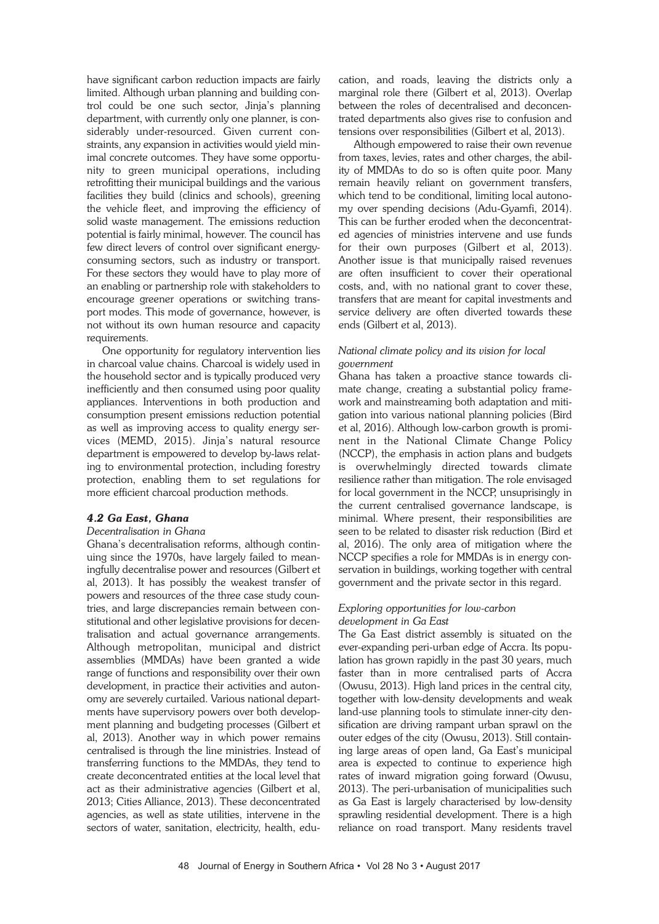have significant carbon reduction impacts are fairly limited. Although urban planning and building control could be one such sector, Jinja's planning department, with currently only one planner, is considerably under-resourced. Given current constraints, any expansion in activities would yield minimal concrete outcomes. They have some opportunity to green municipal operations, including retrofitting their municipal buildings and the various facilities they build (clinics and schools), greening the vehicle fleet, and improving the efficiency of solid waste management. The emissions reduction potential is fairly minimal, however. The council has few direct levers of control over significant energyconsuming sectors, such as industry or transport. For these sectors they would have to play more of an enabling or partnership role with stakeholders to encourage greener operations or switching transport modes. This mode of governance, however, is not without its own human resource and capacity requirements.

One opportunity for regulatory intervention lies in charcoal value chains. Charcoal is widely used in the household sector and is typically produced very inefficiently and then consumed using poor quality appliances. Interventions in both production and consumption present emissions reduction potential as well as improving access to quality energy services (MEMD, 2015). Jinja's natural resource department is empowered to develop by-laws relating to environmental protection, including forestry protection, enabling them to set regulations for more efficient charcoal production methods.

## *4.2 Ga East, Ghana*

#### *Decentralisation in Ghana*

Ghana's decentralisation reforms, although continuing since the 1970s, have largely failed to meaningfully decentralise power and resources (Gilbert et al, 2013). It has possibly the weakest transfer of powers and resources of the three case study countries, and large discrepancies remain between constitutional and other legislative provisions for decentralisation and actual governance arrangements. Although metropolitan, municipal and district assemblies (MMDAs) have been granted a wide range of functions and responsibility over their own development, in practice their activities and autonomy are severely curtailed. Various national departments have supervisory powers over both development planning and budgeting processes (Gilbert et al, 2013). Another way in which power remains centralised is through the line ministries. Instead of transferring functions to the MMDAs, they tend to create deconcentrated entities at the local level that act as their administrative agencies (Gilbert et al, 2013; Cities Alliance, 2013). These deconcentrated agencies, as well as state utilities, intervene in the sectors of water, sanitation, electricity, health, education, and roads, leaving the districts only a marginal role there (Gilbert et al, 2013). Overlap between the roles of decentralised and deconcentrated departments also gives rise to confusion and tensions over responsibilities (Gilbert et al, 2013).

Although empowered to raise their own revenue from taxes, levies, rates and other charges, the ability of MMDAs to do so is often quite poor. Many remain heavily reliant on government transfers, which tend to be conditional, limiting local autonomy over spending decisions (Adu-Gyamfi, 2014). This can be further eroded when the deconcentrated agencies of ministries intervene and use funds for their own purposes (Gilbert et al, 2013). Another issue is that municipally raised revenues are often insufficient to cover their operational costs, and, with no national grant to cover these, transfers that are meant for capital investments and service delivery are often diverted towards these ends (Gilbert et al, 2013).

#### *National climate policy and its vision for local government*

Ghana has taken a proactive stance towards climate change, creating a substantial policy framework and mainstreaming both adaptation and mitigation into various national planning policies (Bird et al, 2016). Although low-carbon growth is prominent in the National Climate Change Policy (NCCP), the emphasis in action plans and budgets is overwhelmingly directed towards climate resilience rather than mitigation. The role envisaged for local government in the NCCP, unsuprisingly in the current centralised governance landscape, is minimal. Where present, their responsibilities are seen to be related to disaster risk reduction (Bird et al, 2016). The only area of mitigation where the NCCP specifies a role for MMDAs is in energy conservation in buildings, working together with central government and the private sector in this regard.

## *Exploring opportunities for low-carbon development in Ga East*

The Ga East district assembly is situated on the ever-expanding peri-urban edge of Accra. Its population has grown rapidly in the past 30 years, much faster than in more centralised parts of Accra (Owusu, 2013). High land prices in the central city, together with low-density developments and weak land-use planning tools to stimulate inner-city densification are driving rampant urban sprawl on the outer edges of the city (Owusu, 2013). Still containing large areas of open land, Ga East's municipal area is expected to continue to experience high rates of inward migration going forward (Owusu, 2013). The peri-urbanisation of municipalities such as Ga East is largely characterised by low-density sprawling residential development. There is a high reliance on road transport. Many residents travel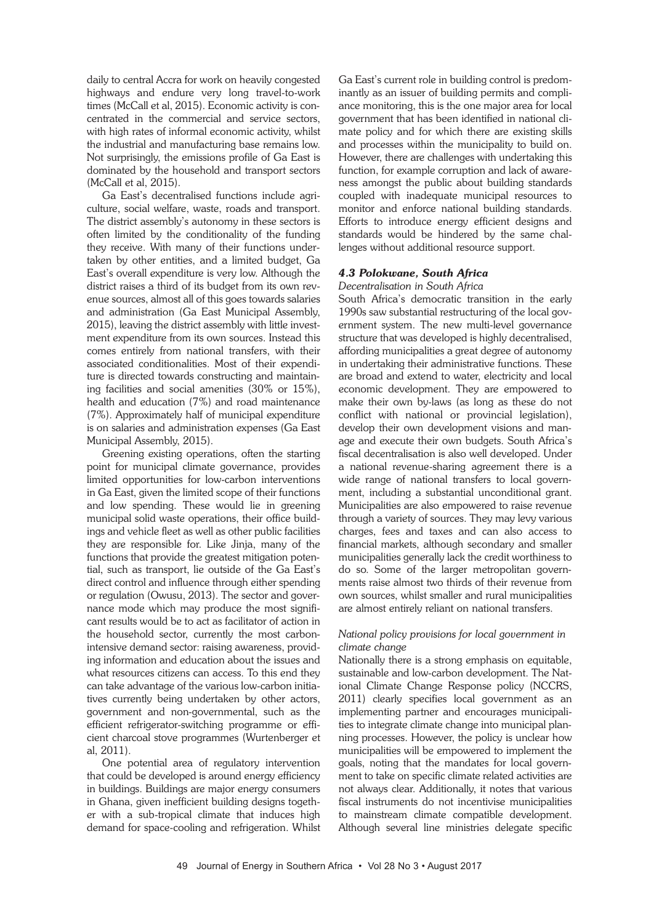daily to central Accra for work on heavily congested highways and endure very long travel-to-work times (McCall et al, 2015). Economic activity is concentrated in the commercial and service sectors, with high rates of informal economic activity, whilst the industrial and manufacturing base remains low. Not surprisingly, the emissions profile of Ga East is dominated by the household and transport sectors (McCall et al, 2015).

Ga East's decentralised functions include agriculture, social welfare, waste, roads and transport. The district assembly's autonomy in these sectors is often limited by the conditionality of the funding they receive. With many of their functions undertaken by other entities, and a limited budget, Ga East's overall expenditure is very low. Although the district raises a third of its budget from its own revenue sources, almost all of this goes towards salaries and administration (Ga East Municipal Assembly, 2015), leaving the district assembly with little investment expenditure from its own sources. Instead this comes entirely from national transfers, with their associated conditionalities. Most of their expenditure is directed towards constructing and maintaining facilities and social amenities (30% or 15%), health and education (7%) and road maintenance (7%). Approximately half of municipal expenditure is on salaries and administration expenses (Ga East Municipal Assembly, 2015).

Greening existing operations, often the starting point for municipal climate governance, provides limited opportunities for low-carbon interventions in Ga East, given the limited scope of their functions and low spending. These would lie in greening municipal solid waste operations, their office buildings and vehicle fleet as well as other public facilities they are responsible for. Like Jinja, many of the functions that provide the greatest mitigation potential, such as transport, lie outside of the Ga East's direct control and influence through either spending or regulation (Owusu, 2013). The sector and governance mode which may produce the most significant results would be to act as facilitator of action in the household sector, currently the most carbonintensive demand sector: raising awareness, providing information and education about the issues and what resources citizens can access. To this end they can take advantage of the various low-carbon initiatives currently being undertaken by other actors, government and non-governmental, such as the efficient refrigerator-switching programme or efficient charcoal stove programmes (Wurtenberger et al, 2011).

One potential area of regulatory intervention that could be developed is around energy efficiency in buildings. Buildings are major energy consumers in Ghana, given inefficient building designs together with a sub-tropical climate that induces high demand for space-cooling and refrigeration. Whilst

Ga East's current role in building control is predominantly as an issuer of building permits and compliance monitoring, this is the one major area for local government that has been identified in national climate policy and for which there are existing skills and processes within the municipality to build on. However, there are challenges with undertaking this function, for example corruption and lack of awareness amongst the public about building standards coupled with inadequate municipal resources to monitor and enforce national building standards. Efforts to introduce energy efficient designs and standards would be hindered by the same challenges without additional resource support.

## *4.3 Polokwane, South Africa*

#### *Decentralisation in South Africa*

South Africa's democratic transition in the early 1990s saw substantial restructuring of the local government system. The new multi-level governance structure that was developed is highly decentralised, affording municipalities a great degree of autonomy in undertaking their administrative functions. These are broad and extend to water, electricity and local economic development. They are empowered to make their own by-laws (as long as these do not conflict with national or provincial legislation), develop their own development visions and manage and execute their own budgets. South Africa's fiscal decentralisation is also well developed. Under a national revenue-sharing agreement there is a wide range of national transfers to local government, including a substantial unconditional grant. Municipalities are also empowered to raise revenue through a variety of sources. They may levy various charges, fees and taxes and can also access to financial markets, although secondary and smaller municipalities generally lack the credit worthiness to do so. Some of the larger metropolitan governments raise almost two thirds of their revenue from own sources, whilst smaller and rural municipalities are almost entirely reliant on national transfers.

#### *National policy provisions for local government in climate change*

Nationally there is a strong emphasis on equitable, sustainable and low-carbon development. The National Climate Change Response policy (NCCRS, 2011) clearly specifies local government as an implementing partner and encourages municipalities to integrate climate change into municipal planning processes. However, the policy is unclear how municipalities will be empowered to implement the goals, noting that the mandates for local government to take on specific climate related activities are not always clear. Additionally, it notes that various fiscal instruments do not incentivise municipalities to mainstream climate compatible development. Although several line ministries delegate specific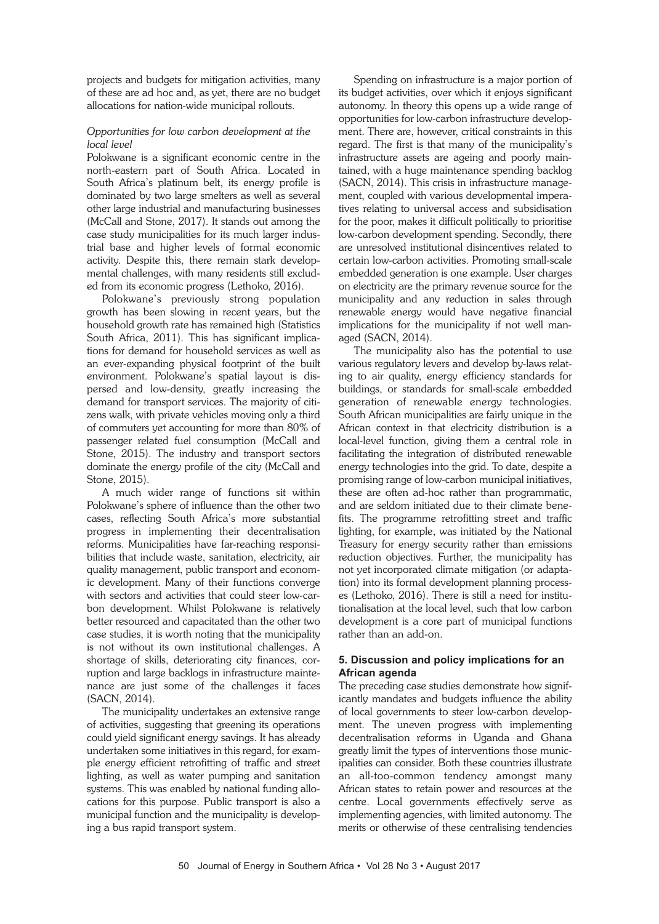projects and budgets for mitigation activities, many of these are ad hoc and, as yet, there are no budget allocations for nation-wide municipal rollouts.

## *Opportunities for low carbon development at the local level*

Polokwane is a significant economic centre in the north-eastern part of South Africa. Located in South Africa's platinum belt, its energy profile is dominated by two large smelters as well as several other large industrial and manufacturing businesses (McCall and Stone, 2017). It stands out among the case study municipalities for its much larger industrial base and higher levels of formal economic activity. Despite this, there remain stark developmental challenges, with many residents still excluded from its economic progress (Lethoko, 2016).

Polokwane's previously strong population growth has been slowing in recent years, but the household growth rate has remained high (Statistics South Africa, 2011). This has significant implications for demand for household services as well as an ever-expanding physical footprint of the built environment. Polokwane's spatial layout is dispersed and low-density, greatly increasing the demand for transport services. The majority of citizens walk, with private vehicles moving only a third of commuters yet accounting for more than 80% of passenger related fuel consumption (McCall and Stone, 2015). The industry and transport sectors dominate the energy profile of the city (McCall and Stone, 2015).

A much wider range of functions sit within Polokwane's sphere of influence than the other two cases, reflecting South Africa's more substantial progress in implementing their decentralisation reforms. Municipalities have far-reaching responsibilities that include waste, sanitation, electricity, air quality management, public transport and economic development. Many of their functions converge with sectors and activities that could steer low-carbon development. Whilst Polokwane is relatively better resourced and capacitated than the other two case studies, it is worth noting that the municipality is not without its own institutional challenges. A shortage of skills, deteriorating city finances, corruption and large backlogs in infrastructure maintenance are just some of the challenges it faces (SACN, 2014).

The municipality undertakes an extensive range of activities, suggesting that greening its operations could yield significant energy savings. It has already undertaken some initiatives in this regard, for example energy efficient retrofitting of traffic and street lighting, as well as water pumping and sanitation systems. This was enabled by national funding allocations for this purpose. Public transport is also a municipal function and the municipality is developing a bus rapid transport system.

Spending on infrastructure is a major portion of its budget activities, over which it enjoys significant autonomy. In theory this opens up a wide range of opportunities for low-carbon infrastructure development. There are, however, critical constraints in this regard. The first is that many of the municipality's infrastructure assets are ageing and poorly maintained, with a huge maintenance spending backlog (SACN, 2014). This crisis in infrastructure management, coupled with various developmental imperatives relating to universal access and subsidisation for the poor, makes it difficult politically to prioritise low-carbon development spending. Secondly, there are unresolved institutional disincentives related to certain low-carbon activities. Promoting small-scale embedded generation is one example. User charges on electricity are the primary revenue source for the municipality and any reduction in sales through renewable energy would have negative financial implications for the municipality if not well managed (SACN, 2014).

The municipality also has the potential to use various regulatory levers and develop by-laws relating to air quality, energy efficiency standards for buildings, or standards for small-scale embedded generation of renewable energy technologies. South African municipalities are fairly unique in the African context in that electricity distribution is a local-level function, giving them a central role in facilitating the integration of distributed renewable energy technologies into the grid. To date, despite a promising range of low-carbon municipal initiatives, these are often ad-hoc rather than programmatic, and are seldom initiated due to their climate benefits. The programme retrofitting street and traffic lighting, for example, was initiated by the National Treasury for energy security rather than emissions reduction objectives. Further, the municipality has not yet incorporated climate mitigation (or adaptation) into its formal development planning processes (Lethoko, 2016). There is still a need for institutionalisation at the local level, such that low carbon development is a core part of municipal functions rather than an add-on.

## **5. Discussion and policy implications for an African agenda**

The preceding case studies demonstrate how significantly mandates and budgets influence the ability of local governments to steer low-carbon development. The uneven progress with implementing decentralisation reforms in Uganda and Ghana greatly limit the types of interventions those municipalities can consider. Both these countries illustrate an all-too-common tendency amongst many African states to retain power and resources at the centre. Local governments effectively serve as implementing agencies, with limited autonomy. The merits or otherwise of these centralising tendencies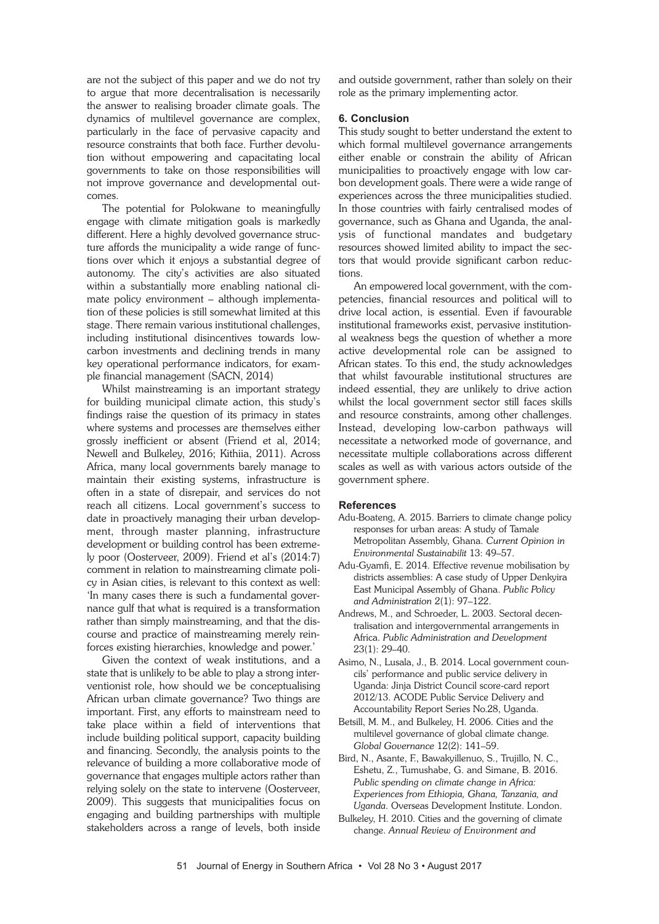are not the subject of this paper and we do not try to argue that more decentralisation is necessarily the answer to realising broader climate goals. The dynamics of multilevel governance are complex, particularly in the face of pervasive capacity and resource constraints that both face. Further devolution without empowering and capacitating local governments to take on those responsibilities will not improve governance and developmental outcomes.

The potential for Polokwane to meaningfully engage with climate mitigation goals is markedly different. Here a highly devolved governance structure affords the municipality a wide range of functions over which it enjoys a substantial degree of autonomy. The city's activities are also situated within a substantially more enabling national climate policy environment – although implementation of these policies is still somewhat limited at this stage. There remain various institutional challenges, including institutional disincentives towards lowcarbon investments and declining trends in many key operational performance indicators, for example financial management (SACN, 2014)

Whilst mainstreaming is an important strategy for building municipal climate action, this study's findings raise the question of its primacy in states where systems and processes are themselves either grossly inefficient or absent (Friend et al, 2014; Newell and Bulkeley, 2016; Kithiia, 2011). Across Africa, many local governments barely manage to maintain their existing systems, infrastructure is often in a state of disrepair, and services do not reach all citizens. Local government's success to date in proactively managing their urban development, through master planning, infrastructure development or building control has been extremely poor (Oosterveer, 2009). Friend et al's (2014:7) comment in relation to mainstreaming climate policy in Asian cities, is relevant to this context as well: 'In many cases there is such a fundamental governance gulf that what is required is a transformation rather than simply mainstreaming, and that the discourse and practice of mainstreaming merely reinforces existing hierarchies, knowledge and power.'

Given the context of weak institutions, and a state that is unlikely to be able to play a strong interventionist role, how should we be conceptualising African urban climate governance? Two things are important. First, any efforts to mainstream need to take place within a field of interventions that include building political support, capacity building and financing. Secondly, the analysis points to the relevance of building a more collaborative mode of governance that engages multiple actors rather than relying solely on the state to intervene (Oosterveer, 2009). This suggests that municipalities focus on engaging and building partnerships with multiple stakeholders across a range of levels, both inside

and outside government, rather than solely on their role as the primary implementing actor.

#### **6. Conclusion**

This study sought to better understand the extent to which formal multilevel governance arrangements either enable or constrain the ability of African municipalities to proactively engage with low carbon development goals. There were a wide range of experiences across the three municipalities studied. In those countries with fairly centralised modes of governance, such as Ghana and Uganda, the analysis of functional mandates and budgetary resources showed limited ability to impact the sectors that would provide significant carbon reductions.

An empowered local government, with the competencies, financial resources and political will to drive local action, is essential. Even if favourable institutional frameworks exist, pervasive institutional weakness begs the question of whether a more active developmental role can be assigned to African states. To this end, the study acknowledges that whilst favourable institutional structures are indeed essential, they are unlikely to drive action whilst the local government sector still faces skills and resource constraints, among other challenges. Instead, developing low-carbon pathways will necessitate a networked mode of governance, and necessitate multiple collaborations across different scales as well as with various actors outside of the government sphere.

#### **References**

- Adu-Boateng, A. 2015. Barriers to climate change policy responses for urban areas: A study of Tamale Metropolitan Assembly, Ghana. *Current Opinion in Environmental Sustainabilit* 13: 49–57.
- Adu-Gyamfi, E. 2014. Effective revenue mobilisation by districts assemblies: A case study of Upper Denkyira East Municipal Assembly of Ghana. *Public Policy and Administration* 2(1): 97–122.
- Andrews, M., and Schroeder, L. 2003. Sectoral decentralisation and intergovernmental arrangements in Africa. *Public Administration and Development* 23(1): 29–40.
- Asimo, N., Lusala, J., B. 2014. Local government councils' performance and public service delivery in Uganda: Jinja District Council score-card report 2012/13. ACODE Public Service Delivery and Accountability Report Series No.28, Uganda.
- Betsill, M. M., and Bulkeley, H. 2006. Cities and the multilevel governance of global climate change*. Global Governance* 12(2): 141–59.
- Bird, N., Asante, F., Bawakyillenuo, S., Trujillo, N. C., Eshetu, Z., Tumushabe, G. and Simane, B. 2016. *Public spending on climate change in Africa: Experiences from Ethiopia, Ghana, Tanzania, and Uganda*. Overseas Development Institute. London.
- Bulkeley, H. 2010. Cities and the governing of climate change. *Annual Review of Environment and*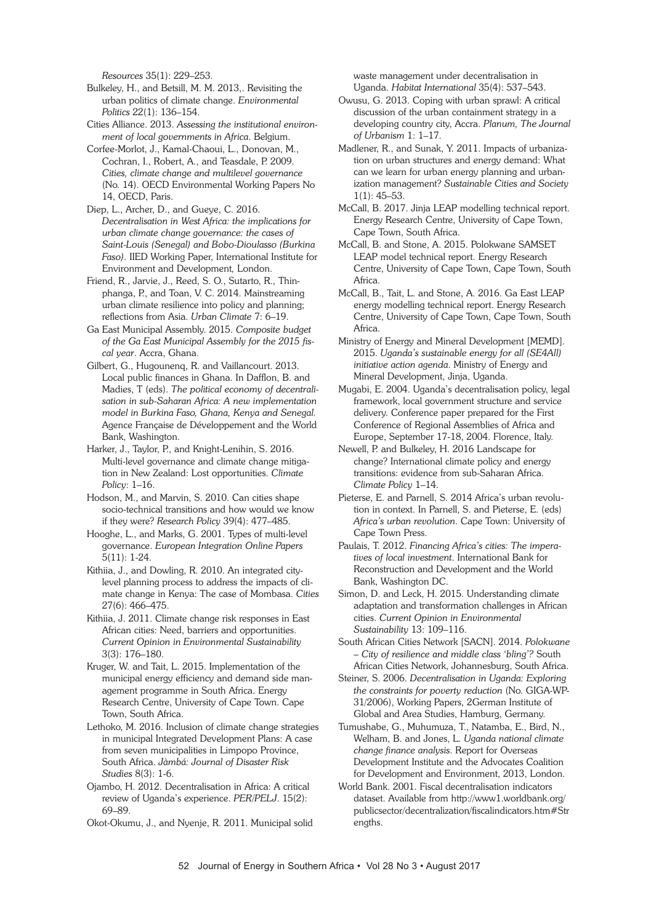*Resources* 35(1): 229–253.

Bulkeley, H., and Betsill, M. M. 2013,. Revisiting the urban politics of climate change. *Environmental Politics* 22(1): 136–154.

Cities Alliance. 2013. *Assessing the institutional environment of local governments in Africa*. Belgium.

Corfee-Morlot, J., Kamal-Chaoui, L., Donovan, M., Cochran, I., Robert, A., and Teasdale, P. 2009. *Cities, climate change and multilevel governance* (No. 14). OECD Environmental Working Papers No 14, OECD, Paris.

Diep, L., Archer, D., and Gueye, C. 2016. *Decentralisation in West Africa: the implications for urban climate change governance: the cases of Saint-Louis (Senegal) and Bobo-Dioulasso (Burkina Faso)*. IIED Working Paper, International Institute for Environment and Development*,* London.

Friend, R., Jarvie, J., Reed, S. O., Sutarto, R., Thinphanga, P., and Toan, V. C. 2014. Mainstreaming urban climate resilience into policy and planning; reflections from Asia. *Urban Climate* 7: 6–19.

Ga East Municipal Assembly. 2015. *Composite budget of the Ga East Municipal Assembly for the 2015 fiscal year*. Accra, Ghana.

Gilbert, G., Hugounenq, R. and Vaillancourt. 2013. Local public finances in Ghana. In Dafflon, B. and Madies, T (eds). *The political economy of decentralisation in sub-Saharan Africa: A new implementation model in Burkina Faso, Ghana, Kenya and Senegal.* Agence Française de Développement and the World Bank, Washington.

Harker, J., Taylor, P., and Knight-Lenihin, S. 2016. Multi-level governance and climate change mitigation in New Zealand: Lost opportunities. *Climate Policy*: 1–16.

Hodson, M., and Marvin, S. 2010. Can cities shape socio-technical transitions and how would we know if they were? *Research Policy* 39(4): 477–485.

Hooghe, L., and Marks, G. 2001. Types of multi-level governance. *European Integration Online Papers* 5(11): 1-24.

Kithiia, J., and Dowling, R. 2010. An integrated citylevel planning process to address the impacts of climate change in Kenya: The case of Mombasa. *Cities* 27(6): 466–475.

Kithiia, J. 2011. Climate change risk responses in East African cities: Need, barriers and opportunities. *Current Opinion in Environmental Sustainability* 3(3): 176–180.

Kruger, W. and Tait, L. 2015. Implementation of the municipal energy efficiency and demand side management programme in South Africa. Energy Research Centre, University of Cape Town. Cape Town, South Africa.

Lethoko, M. 2016. Inclusion of climate change strategies in municipal Integrated Development Plans: A case from seven municipalities in Limpopo Province, South Africa. *Jàmbá: Journal of Disaster Risk Studies* 8(3): 1-6.

Ojambo, H. 2012. Decentralisation in Africa: A critical review of Uganda's experience. *PER/PELJ*. 15(2): 69–89.

Okot-Okumu, J., and Nyenje, R. 2011. Municipal solid

waste management under decentralisation in Uganda. *Habitat International* 35(4): 537–543.

Owusu, G. 2013. Coping with urban sprawl: A critical discussion of the urban containment strategy in a developing country city, Accra. *Planum, The Journal of Urbanism* 1: 1–17.

Madlener, R., and Sunak, Y. 2011. Impacts of urbanization on urban structures and energy demand: What can we learn for urban energy planning and urbanization management? *Sustainable Cities and Society* 1(1): 45–53.

McCall, B. 2017. Jinja LEAP modelling technical report. Energy Research Centre, University of Cape Town, Cape Town, South Africa.

McCall, B. and Stone, A. 2015. Polokwane SAMSET LEAP model technical report. Energy Research Centre, University of Cape Town, Cape Town, South Africa.

McCall, B., Tait, L. and Stone, A. 2016. Ga East LEAP energy modelling technical report. Energy Research Centre, University of Cape Town, Cape Town, South Africa.

Ministry of Energy and Mineral Development [MEMD]. 2015. *Uganda's sustainable energy for all (SE4All) initiative action agenda*. Ministry of Energy and Mineral Development, Jinja, Uganda.

Mugabi, E. 2004. Uganda's decentralisation policy, legal framework, local government structure and service delivery. Conference paper prepared for the First Conference of Regional Assemblies of Africa and Europe, September 17-18, 2004. Florence, Italy.

Newell, P. and Bulkeley, H. 2016 Landscape for change? International climate policy and energy transitions: evidence from sub-Saharan Africa. *Climate Policy* 1–14.

Pieterse, E. and Parnell, S. 2014 Africa's urban revolution in context. In Parnell, S. and Pieterse, E. (eds) *Africa's urban revolution*. Cape Town: University of Cape Town Press.

Paulais, T. 2012. *Financing Africa's cities: The imperatives of local investment*. International Bank for Reconstruction and Development and the World Bank, Washington DC.

Simon, D. and Leck, H. 2015. Understanding climate adaptation and transformation challenges in African cities. *Current Opinion in Environmental Sustainability* 13: 109–116.

South African Cities Network [SACN]. 2014. *Polokwane – City of resilience and middle class 'bling'?* South African Cities Network, Johannesburg, South Africa.

Steiner, S. 2006. *Decentralisation in Uganda: Exploring the constraints for poverty reduction* (No. GIGA-WP-31/2006), Working Papers, 2German Institute of Global and Area Studies, Hamburg, Germany.

Tumushabe, G., Muhumuza, T., Natamba, E., Bird, N., Welham, B. and Jones, L. *Uganda national climate change finance analysis*. Report for Overseas Development Institute and the Advocates Coalition for Development and Environment, 2013, London.

World Bank. 2001. Fiscal decentralisation indicators dataset. Available from http://www1.worldbank.org/ publicsector/decentralization/fiscalindicators.htm#Str engths.